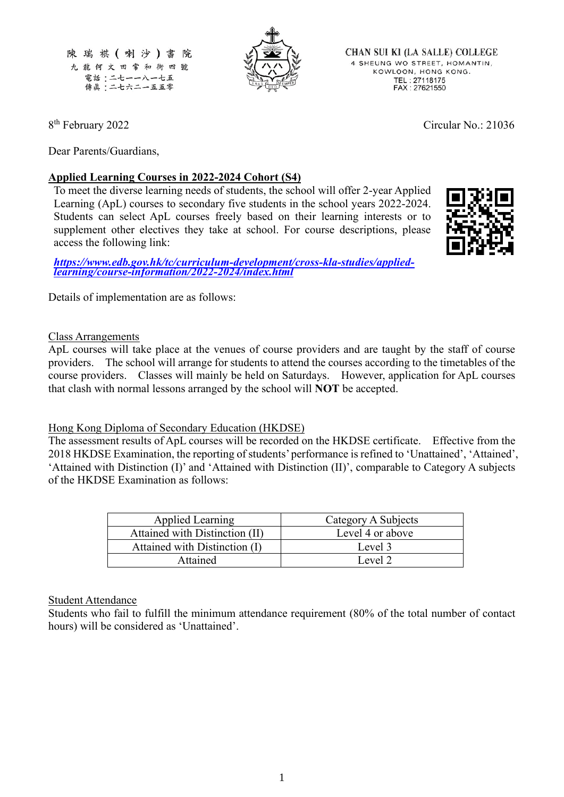

**CHAN SUI KI (LA SALLE) COLLEGE** 4 SHEUNG WO STREET, HOMANTIN, KOWLOON, HONG KONG. TEL: 27118175<br>FAX: 27621550

8 th February 2022 Circular No.: 21036

Dear Parents/Guardians,

### **Applied Learning Courses in 2022-2024 Cohort (S4)**

To meet the diverse learning needs of students, the school will offer 2-year Applied Learning (ApL) courses to secondary five students in the school years 2022-2024. Students can select ApL courses freely based on their learning interests or to supplement other electives they take at school. For course descriptions, please access the following link:

*[https://www.edb.gov.hk/tc/curriculum-development/cross-kla-studies/applied](https://www.edb.gov.hk/tc/curriculum-development/cross-kla-studies/applied-learning/course-information/2022-2024/index.html)[learning/course-information/2022-2024/index.html](https://www.edb.gov.hk/tc/curriculum-development/cross-kla-studies/applied-learning/course-information/2022-2024/index.html)*

Details of implementation are as follows:

#### Class Arrangements

ApL courses will take place at the venues of course providers and are taught by the staff of course providers. The school will arrange for students to attend the courses according to the timetables of the course providers. Classes will mainly be held on Saturdays. However, application for ApL courses that clash with normal lessons arranged by the school will **NOT** be accepted.

#### Hong Kong Diploma of Secondary Education (HKDSE)

The assessment results of ApL courses will be recorded on the HKDSE certificate. Effective from the 2018 HKDSE Examination, the reporting of students' performance is refined to 'Unattained', 'Attained', 'Attained with Distinction (I)' and 'Attained with Distinction (II)', comparable to Category A subjects of the HKDSE Examination as follows:

| <b>Applied Learning</b>        | Category A Subjects |
|--------------------------------|---------------------|
| Attained with Distinction (II) | Level 4 or above    |
| Attained with Distinction (I)  | Level 3             |
| Attained                       | Level 2             |

#### Student Attendance

Students who fail to fulfill the minimum attendance requirement (80% of the total number of contact hours) will be considered as 'Unattained'.

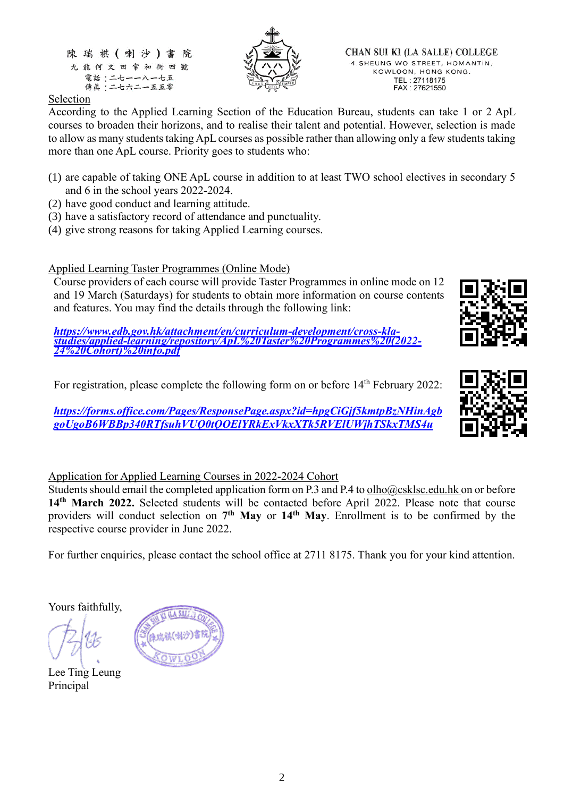

**CHAN SUI KI (LA SALLE) COLLEGE** 4 SHEUNG WO STREET, HOMANTIN, KOWLOON, HONG KONG. TEL: 27118175<br>FAX: 27621550

## Selection

According to the Applied Learning Section of the Education Bureau, students can take 1 or 2 ApL courses to broaden their horizons, and to realise their talent and potential. However, selection is made to allow as many students taking ApL courses as possible rather than allowing only a few students taking more than one ApL course. Priority goes to students who:

- (1) are capable of taking ONE ApL course in addition to at least TWO school electives in secondary 5 and 6 in the school years 2022-2024.
- (2) have good conduct and learning attitude.
- (3) have a satisfactory record of attendance and punctuality.
- (4) give strong reasons for taking Applied Learning courses.

Applied Learning Taster Programmes (Online Mode)

Course providers of each course will provide Taster Programmes in online mode on 12 and 19 March (Saturdays) for students to obtain more information on course contents and features. You may find the details through the following link:

*[https://www.edb.gov.hk/attachment/en/curriculum-development/cross-kla](https://www.edb.gov.hk/attachment/en/curriculum-development/cross-kla-studies/applied-learning/repository/ApL%20Taster%20Programmes%20(2022-24%20Cohort)%20info.pdf)[studies/applied-learning/repository/ApL%20Taster%20Programmes%20\(2022-](https://www.edb.gov.hk/attachment/en/curriculum-development/cross-kla-studies/applied-learning/repository/ApL%20Taster%20Programmes%20(2022-24%20Cohort)%20info.pdf) [24%20Cohort\)%20info.pdf](https://www.edb.gov.hk/attachment/en/curriculum-development/cross-kla-studies/applied-learning/repository/ApL%20Taster%20Programmes%20(2022-24%20Cohort)%20info.pdf)*

For registration, please complete the following form on or before 14<sup>th</sup> February 2022:

*[https://forms.office.com/Pages/ResponsePage.aspx?id=hpgCiGjf5kmtpBzNHinAgb](https://forms.office.com/Pages/ResponsePage.aspx?id=hpgCiGjf5kmtpBzNHinAgbgoUgoB6WBBp340RTfsuhVUQ0tQOElYRkExVkxXTk5RVElUWjhTSkxTMS4u) [goUgoB6WBBp340RTfsuhVUQ0tQOElYRkExVkxXTk5RVElUWjhTSkxTMS4u](https://forms.office.com/Pages/ResponsePage.aspx?id=hpgCiGjf5kmtpBzNHinAgbgoUgoB6WBBp340RTfsuhVUQ0tQOElYRkExVkxXTk5RVElUWjhTSkxTMS4u)*



Students should email the completed application form on P.3 and P.4 to olho@csklsc.edu.hk on or before **14th March 2022.** Selected students will be contacted before April 2022. Please note that course providers will conduct selection on **7 th May** or **14 th May**. Enrollment is to be confirmed by the respective course provider in June 2022.

For further enquiries, please contact the school office at 2711 8175. Thank you for your kind attention.

Yours faithfully,

Lee Ting Leung Principal







2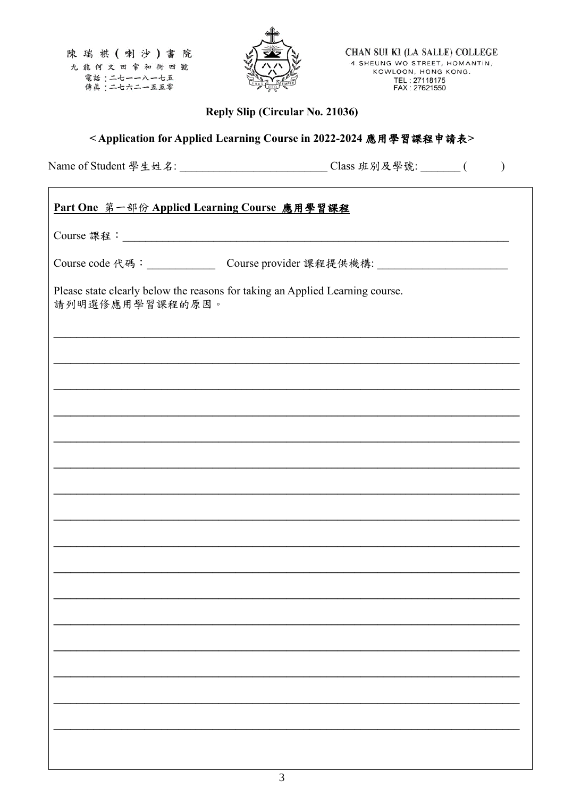

CHAN SUI KI (LA SALLE) COLLEGE 4 SHEUNG WO STREET, HOMANTIN, KOWLOON, HONG KONG. TEL: 27118175<br>FAX: 27621550

Reply Slip (Circular No. 21036)

# <Application for Applied Learning Course in 2022-2024 應用學習課程申請表>

Name of Student 學生姓名: \_\_\_\_\_\_\_\_\_\_\_\_\_\_\_\_\_\_\_\_\_\_\_\_\_\_\_\_\_\_\_\_Class 班別及學號: \_\_\_\_\_\_\_(

| Part One 第一部份 Applied Learning Course 應用學習課程                                                     |                                                                                   |  |
|--------------------------------------------------------------------------------------------------|-----------------------------------------------------------------------------------|--|
|                                                                                                  |                                                                                   |  |
|                                                                                                  | Course code 代碼: ________________________Course provider 課程提供機構: _________________ |  |
| Please state clearly below the reasons for taking an Applied Learning course.<br>請列明選修應用學習課程的原因。 |                                                                                   |  |
|                                                                                                  | ,我们也不会有什么。""你们的人,你们也不会有什么?""你们的人,你们也不会有什么?""你们的人,你们也不会有什么?""你们的人,你们也不会有什么?""你们,你  |  |
|                                                                                                  |                                                                                   |  |
|                                                                                                  |                                                                                   |  |
|                                                                                                  |                                                                                   |  |
|                                                                                                  |                                                                                   |  |
|                                                                                                  |                                                                                   |  |
|                                                                                                  |                                                                                   |  |
|                                                                                                  |                                                                                   |  |
|                                                                                                  |                                                                                   |  |
|                                                                                                  |                                                                                   |  |
|                                                                                                  |                                                                                   |  |
|                                                                                                  |                                                                                   |  |
|                                                                                                  |                                                                                   |  |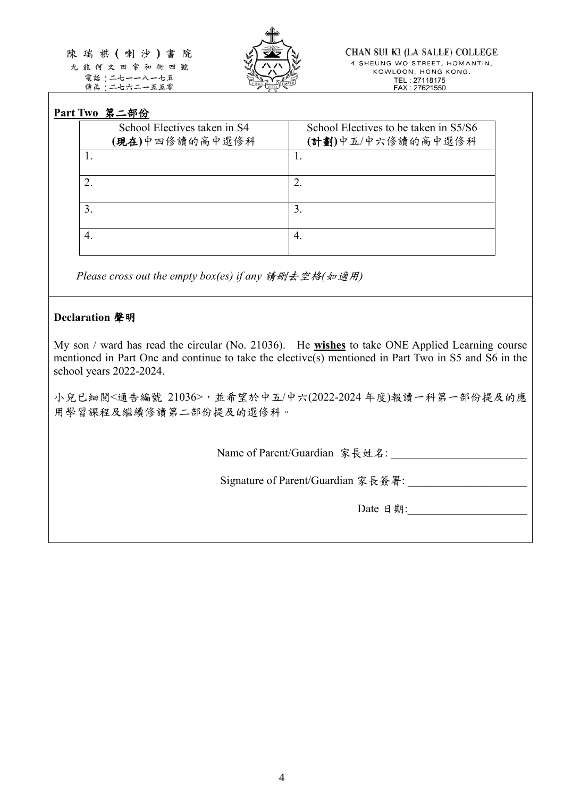陳瑞祺(喇沙)書院 九龍何文田常和街四號

電話:二七一一八一七五 傳眞:二七六二一五五零



# **Part Two** 第二部份

| School Electives taken in S4<br>(現在)中四修讀的高中選修科 | School Electives to be taken in S5/S6<br>(計劃)中五/中六修讀的高中選修科 |
|------------------------------------------------|------------------------------------------------------------|
|                                                |                                                            |
|                                                |                                                            |
|                                                | 3.                                                         |
|                                                | 4.                                                         |

*Please cross out the empty box(es) if any* 請刪去空格*(*如適用*)*

## **Declaration** 聲明

My son / ward has read the circular (No. 21036). He **wishes** to take ONE Applied Learning course mentioned in Part One and continue to take the elective(s) mentioned in Part Two in S5 and S6 in the school years 2022-2024.

小兒已細閱<通告編號 21036>,並希望於中五/中六(2022-2024 年度)報讀一科第一部份提及的應 用學習課程及繼續修讀第二部份提及的選修科。

Name of Parent/Guardian 家長姓名:

Signature of Parent/Guardian 家長簽署: \_\_\_\_\_\_\_\_\_\_\_\_\_\_\_\_\_\_\_\_\_

Date 日期: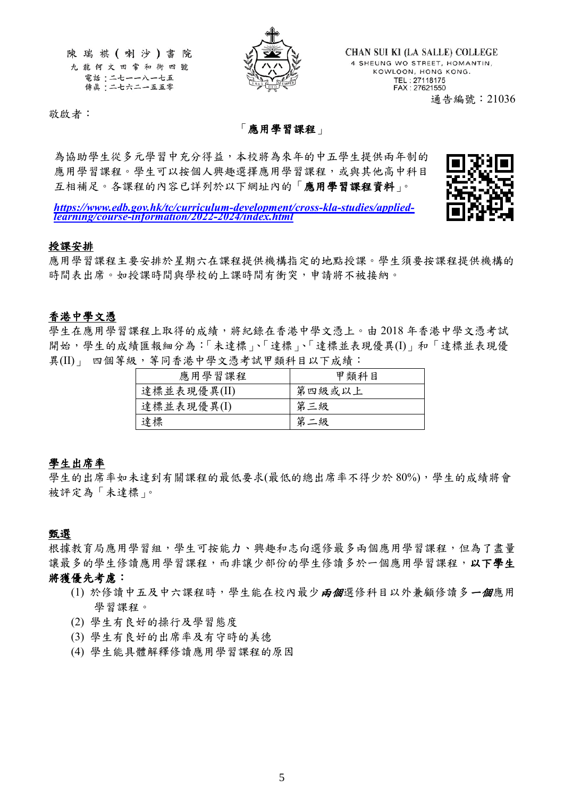

CHAN SUI KI (LA SALLE) COLLEGE 4 SHEUNG WO STREET, HOMANTIN, KOWLOON, HONG KONG. TEL: 27118175<br>FAX: 27621550 通告編號:21036

敬啟者:

### 「應用學習課程」

為協助學生從多元學習中充分得益,本校將為來年的中五學生提供兩年制的 應用學習課程。學生可以按個人興趣選擇應用學習課程,或與其他高中科目 互相補足。各課程的內容已詳列於以下網址內的「應用學習課程資料」。



*[https://www.edb.gov.hk/tc/curriculum-development/cross-kla-studies/applied](https://www.edb.gov.hk/tc/curriculum-development/cross-kla-studies/applied-learning/course-information/2022-2024/index.html)[learning/course-information/2022-2024/index.html](https://www.edb.gov.hk/tc/curriculum-development/cross-kla-studies/applied-learning/course-information/2022-2024/index.html)*

#### 授課安排

應用學習課程主要安排於星期六在課程提供機構指定的地點授課。學生須要按課程提供機構的 時間表出席。如授課時間與學校的上課時間有衝突,申請將不被接納。

#### 香港中學文憑

學生在應用學習課程上取得的成績,將紀錄在香港中學文憑上。由 2018 年香港中學文憑考試 開始,學生的成績匯報細分為:「未達標」、「達標」、「達標並表現優異(I)」和「達標並表現優 異(II)」 四個等級, 等同香港中學文憑考試甲類科目以下成績:

| 應用學習課程      | 甲類科目   |
|-------------|--------|
| 達標並表現優異(II) | 第四級或以上 |
| 達標並表現優異(I)  | 第三級    |
| 達標          | 第二級    |

#### 學生出席率

學生的出席率如未達到有關課程的最低要求(最低的總出席率不得少於80%),學生的成績將會 被評定為「未達標」。

#### 甄選

根據教育局應用學習組,學生可按能力、興趣和志向選修最多兩個應用學習課程,但為了盡量 讓最多的學生修讀應用學習課程,而非讓少部份的學生修讀多於一個應用學習課程, 以下學生 將獲優先考慮:

- (1) 於修讀中五及中六課程時,學生能在校內最少兩個選修科目以外兼顧修讀多一個應用 學習課程。
- (2) 學生有良好的操行及學習態度
- (3) 學生有良好的出席率及有守時的美德
- (4) 學生能具體解釋修讀應用學習課程的原因